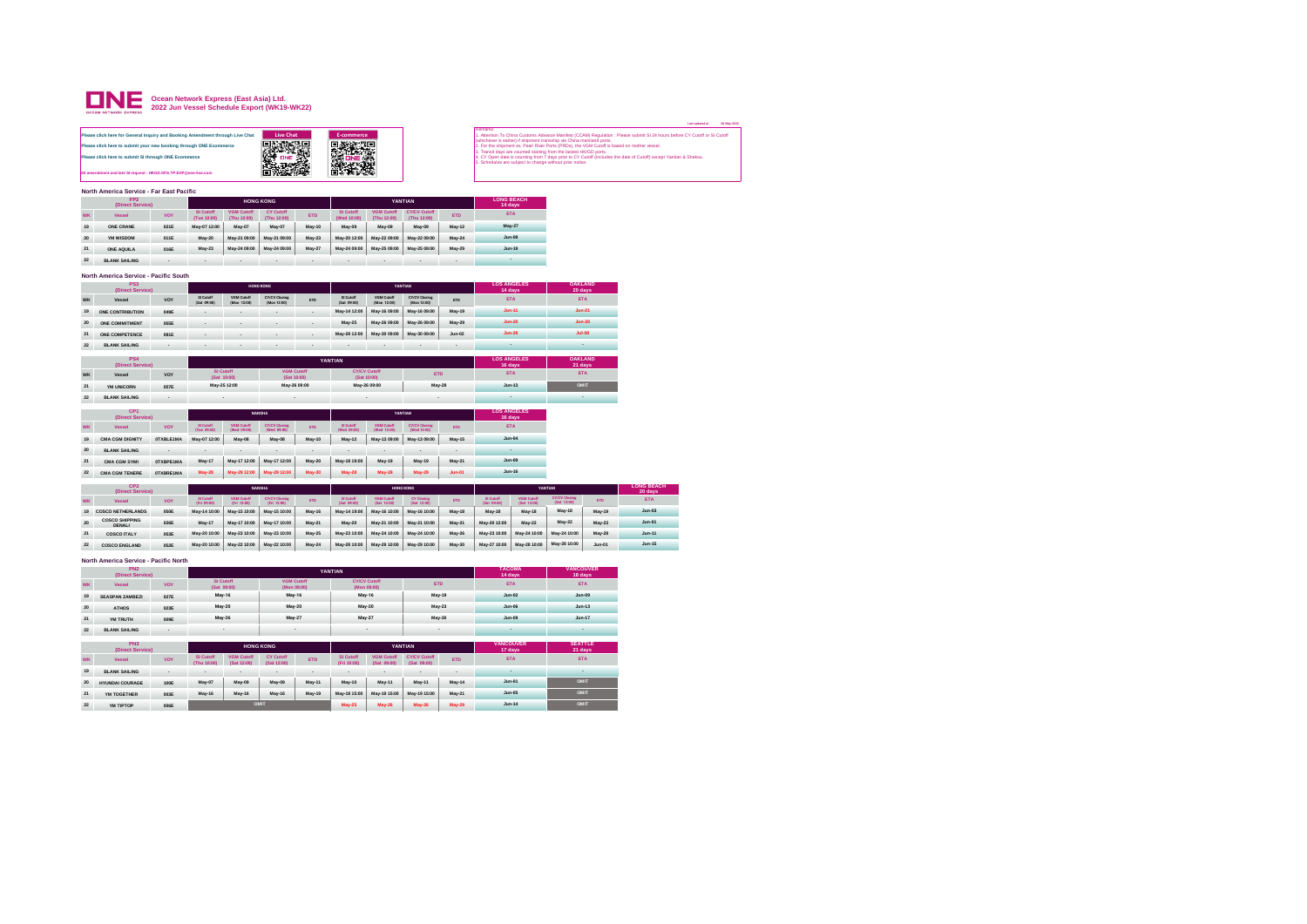

|           |                                                                                                                                                                                                             |             |                          |                              |                                     |               |                                         |                                    |                                     |               |                           |                                  |                                                                                                                                                                                                         |                |                                                                                                                                                                                                                                                                                                                                         | 20-May-2022<br>Last updated at |
|-----------|-------------------------------------------------------------------------------------------------------------------------------------------------------------------------------------------------------------|-------------|--------------------------|------------------------------|-------------------------------------|---------------|-----------------------------------------|------------------------------------|-------------------------------------|---------------|---------------------------|----------------------------------|---------------------------------------------------------------------------------------------------------------------------------------------------------------------------------------------------------|----------------|-----------------------------------------------------------------------------------------------------------------------------------------------------------------------------------------------------------------------------------------------------------------------------------------------------------------------------------------|--------------------------------|
|           | Please click here for General Inquiry and Booking Amendment through Live Chat<br>Please click here to submit your new booking through ONE Ecommerce<br>Please click here to submit SI through ONE Ecommerce |             |                          |                              | <b>Live Chat</b><br><b>DANA</b>     |               | E-commerce<br><b>国家深東</b><br>深東義<br>締役後 |                                    |                                     |               | Remarks                   |                                  | whichever is earlier) if shipment transship via China mainland ports.<br>3. Transit days are counted starting from the lastest HK/GD ports.<br>5. Schedules are subject to change without prior notice. |                | Attention To China Customs Advance Manifest (CCAM) Regulation : Please submit SI 24 hours before CY Cutoff or SI Cutoff<br>For the shinment ex. Pearl River Ports (PRDs), the VGM Cutoff is based on mother vessel<br>4. CY Open date is counting from 7 days prior to CY Cutoff (includes the date of Cutoff) except Yantian & Shekou. |                                |
|           | S/I amendment and late SI request : HKGD.OFS.TP.EXP@one-line.com                                                                                                                                            |             |                          |                              | anewi<br>o                          |               | 松螺                                      |                                    |                                     |               |                           |                                  |                                                                                                                                                                                                         |                |                                                                                                                                                                                                                                                                                                                                         |                                |
|           | North America Service - Far East Pacific                                                                                                                                                                    |             |                          |                              |                                     |               |                                         |                                    |                                     |               |                           |                                  |                                                                                                                                                                                                         |                |                                                                                                                                                                                                                                                                                                                                         |                                |
|           | FP <sub>2</sub>                                                                                                                                                                                             |             |                          |                              | <b>HONG KONG</b>                    |               |                                         |                                    | YANTIAN                             |               | <b>LONG BEACH</b>         |                                  |                                                                                                                                                                                                         |                |                                                                                                                                                                                                                                                                                                                                         |                                |
|           | (Direct Service)                                                                                                                                                                                            |             | SI Cutoff                | <b>VGM Cutoff</b>            | CY Cutoff                           |               | SI Cutoff                               | <b>VGM Cutoff</b>                  | <b>CY/CV Cutoff</b>                 |               | 14 days                   |                                  |                                                                                                                                                                                                         |                |                                                                                                                                                                                                                                                                                                                                         |                                |
| <b>WK</b> | Vessel                                                                                                                                                                                                      | <b>VOY</b>  | (Tue 10:00)              | (Thu 12:00)                  | (Thu 12:00)                         | <b>ETD</b>    | (Wed 10:00)                             | (Thu 12:00)                        | (Thu 12:00)                         | <b>ETD</b>    |                           | <b>ETA</b>                       |                                                                                                                                                                                                         |                |                                                                                                                                                                                                                                                                                                                                         |                                |
| 19        | ONE CRANE                                                                                                                                                                                                   | 021E        | May-07 12:00             | May-07                       | May-07                              | <b>May-10</b> | May-09                                  | May-09                             | May-09                              | May-12        | May-27                    |                                  |                                                                                                                                                                                                         |                |                                                                                                                                                                                                                                                                                                                                         |                                |
| 20        | YM WISDOM                                                                                                                                                                                                   | 011E        | May-20                   | May-21 09:00                 | May-21 09:00                        | May-23        | May-20 12:00                            | May-22 09:00                       | May-22 09:00                        | May-24        | $Jum-08$                  |                                  |                                                                                                                                                                                                         |                |                                                                                                                                                                                                                                                                                                                                         |                                |
| 21        | ONE AQUILA                                                                                                                                                                                                  | 016E        | May-23                   | May-24 09:00                 | May-24 09:00                        | May-27        | May-24 09:00                            | May-25 09:00                       | May-25 09:00                        | May-29        | $Jum-19$                  |                                  |                                                                                                                                                                                                         |                |                                                                                                                                                                                                                                                                                                                                         |                                |
| 22        | <b>BLANK SAILING</b>                                                                                                                                                                                        |             |                          |                              |                                     |               |                                         |                                    |                                     |               |                           | $\sim$                           |                                                                                                                                                                                                         |                |                                                                                                                                                                                                                                                                                                                                         |                                |
|           | North America Service - Pacific South                                                                                                                                                                       |             |                          |                              |                                     |               |                                         |                                    |                                     |               |                           |                                  |                                                                                                                                                                                                         |                |                                                                                                                                                                                                                                                                                                                                         |                                |
|           | PS3<br>(Direct Service)                                                                                                                                                                                     |             |                          |                              | <b>HONG KONG</b>                    |               |                                         |                                    | YANTIAN                             |               |                           | <b>LOS ANGELES</b><br>14 days    | <b>OAKLAND</b><br>20 days                                                                                                                                                                               |                |                                                                                                                                                                                                                                                                                                                                         |                                |
| <b>WK</b> | Vessel                                                                                                                                                                                                      | VOY         | SI Cutoff<br>(Sat 09:00) | VGM Cutoff<br>(Mon. 12:00)   | <b>CY/CV Closing</b><br>(Mon 12:00) | <b>ETD</b>    | Si Cutoff<br>(Sat 09.00)                | VGM Cutoff<br>(Mon 12:00)          | <b>CY/CV Closing</b><br>(Mon 12:00) | <b>ETD</b>    |                           | <b>ETA</b>                       |                                                                                                                                                                                                         | ETA            |                                                                                                                                                                                                                                                                                                                                         |                                |
| 19        | ONE CONTRIBUTION                                                                                                                                                                                            | 049F        |                          |                              |                                     |               | May-14 12:00                            | May-16 09:00                       | May-16 09:00                        | May-19        | $Jun-11$                  |                                  |                                                                                                                                                                                                         | $Jun-21$       |                                                                                                                                                                                                                                                                                                                                         |                                |
| 20        | ONE COMMITMENT                                                                                                                                                                                              | OSSE        |                          |                              |                                     |               | May-25                                  | May-26 09:00                       | May-26 09:00                        | May-29        |                           | $Jun-20$                         |                                                                                                                                                                                                         | <b>Jun-30</b>  |                                                                                                                                                                                                                                                                                                                                         |                                |
| 21        | ONE COMPETENCE                                                                                                                                                                                              | 081E        |                          |                              |                                     |               | May-28 12:00                            | May-30 09:00                       | May-30 09:00                        | $.$ hin-02    |                           | $Jun-28$                         |                                                                                                                                                                                                         | $Jul-08$       |                                                                                                                                                                                                                                                                                                                                         |                                |
| 22        | <b>BLANK SAILING</b>                                                                                                                                                                                        |             |                          |                              |                                     |               |                                         |                                    |                                     |               |                           | ٠                                |                                                                                                                                                                                                         | $\sim$         |                                                                                                                                                                                                                                                                                                                                         |                                |
|           | <b>PS4</b>                                                                                                                                                                                                  |             |                          |                              |                                     |               |                                         |                                    |                                     |               | <b>LOS ANGELES</b>        |                                  | <b>OAKLAND</b>                                                                                                                                                                                          |                |                                                                                                                                                                                                                                                                                                                                         |                                |
|           | (Direct Service)                                                                                                                                                                                            |             |                          |                              |                                     |               | YANTIAN                                 |                                    |                                     |               |                           | 16 days                          | 21 days                                                                                                                                                                                                 |                |                                                                                                                                                                                                                                                                                                                                         |                                |
| <b>WK</b> | Vessel                                                                                                                                                                                                      | VOY         |                          | SL Cutoff<br>(Sat 10:00)     | <b>VGM Cutoff</b><br>(Sat 10:00)    |               |                                         | <b>CY/CV Cutoff</b><br>(Sat 10:00) | <b>ETD</b>                          |               | <b>FTA</b>                |                                  |                                                                                                                                                                                                         | <b>ETA</b>     |                                                                                                                                                                                                                                                                                                                                         |                                |
| 21        | YM UNICORN                                                                                                                                                                                                  | 057E        |                          | May-25 12:00                 | May-26 09:00                        |               |                                         | May-26 09:00                       | May-28                              |               | $Jum-13$                  |                                  |                                                                                                                                                                                                         | OMIT           |                                                                                                                                                                                                                                                                                                                                         |                                |
| $\bf 22$  | <b>BLANK SAILING</b>                                                                                                                                                                                        |             |                          |                              |                                     |               |                                         |                                    |                                     |               |                           |                                  |                                                                                                                                                                                                         |                |                                                                                                                                                                                                                                                                                                                                         |                                |
|           | CP <sub>1</sub>                                                                                                                                                                                             |             |                          |                              | <b>NANSHA</b>                       |               |                                         |                                    | YANTIAN                             |               |                           | <b>LOS ANGELES</b>               |                                                                                                                                                                                                         |                |                                                                                                                                                                                                                                                                                                                                         |                                |
| <b>WK</b> | (Direct Service)<br>Vessel                                                                                                                                                                                  | <b>VOY</b>  | SI Cutoff<br>(Tue 09:00) | <b>VGM Cutoff</b>            | CY/CV Closing<br>(Wed 09:00)        | <b>ETD</b>    | SI Cutoff<br>(Wed 09:00)                | VGM Cutoff<br>(Wed 12:00)          | CY/CV Closing<br>(Wed 12:00)        | <b>ETD</b>    | 16 days                   | <b>ETA</b>                       |                                                                                                                                                                                                         |                |                                                                                                                                                                                                                                                                                                                                         |                                |
| 19        | <b>CMA CGM DIGNITY</b>                                                                                                                                                                                      | OTXBLE1MA   | May-07 12:00             | (Wed 09:00)<br><b>May-08</b> | May-08                              | <b>May-10</b> | $Mav-12$                                | May-13 09:00                       | May-13 09:00                        | May-15        |                           | $Jun-04$                         |                                                                                                                                                                                                         |                |                                                                                                                                                                                                                                                                                                                                         |                                |
| 20        | <b>BLANK SAILING</b>                                                                                                                                                                                        |             |                          |                              |                                     |               |                                         |                                    |                                     |               |                           |                                  |                                                                                                                                                                                                         |                |                                                                                                                                                                                                                                                                                                                                         |                                |
| 21        | <b>CMA CGM SYMI</b>                                                                                                                                                                                         | OTXBPE1MA   | May-17                   | May-17 12:00                 | May-17 12:00                        | May-20        | May-18 19:00                            | May-19                             | May-19                              | May-21        | $.$ lun-09                |                                  |                                                                                                                                                                                                         |                |                                                                                                                                                                                                                                                                                                                                         |                                |
| $\bf 22$  | <b>CMA CGM TENERE</b>                                                                                                                                                                                       | OTXBRE1MA   | May-28                   | May-29 12:00                 | May-29 12:00                        | <b>May-30</b> | May-28                                  | May-29                             | May-29                              | $Jun-01$      | $Jun-16$                  |                                  |                                                                                                                                                                                                         |                |                                                                                                                                                                                                                                                                                                                                         |                                |
|           | CP <sub>2</sub>                                                                                                                                                                                             |             |                          |                              |                                     |               |                                         |                                    |                                     |               |                           |                                  |                                                                                                                                                                                                         |                | <b>LONG BEACH</b>                                                                                                                                                                                                                                                                                                                       |                                |
|           | (Direct Service)                                                                                                                                                                                            |             |                          |                              | <b>NANSHA</b>                       |               |                                         |                                    | HONG KONG                           |               |                           |                                  | YANTIAN                                                                                                                                                                                                 |                | 20 days                                                                                                                                                                                                                                                                                                                                 |                                |
| <b>WK</b> | Vessel                                                                                                                                                                                                      | <b>VOY</b>  | St Cutoff<br>(Fri 09:00) | VGM Cutoff<br>(Fri 12.00)    | <b>CY/CV Closing</b><br>(Fri 12:00) | <b>FTD</b>    | Si Cutoff<br>(Sat. 09:00)               | VGM Cutoff<br>(Sat 12:00)          | <b>CY Closing</b><br>(Sat 1200)     | <b>FTD</b>    | Si Cutoff<br>(Sat. 09:00) | <b>VGM Cutoff</b><br>(Sat 12:00) | CY/CV Closing<br>(Sat 12:00                                                                                                                                                                             | FTD.           | <b>ETA</b>                                                                                                                                                                                                                                                                                                                              |                                |
| 19        | <b>COSCO NETHERLANDS</b>                                                                                                                                                                                    | <b>OSOE</b> | May-14 10:00             | May-15 10:00                 | May-15 10:00                        | May-16        | May-14 19:00                            | May-16 10:00                       | May-16 10:00                        | May-18        | May-18                    | <b>May-18</b>                    | May-18                                                                                                                                                                                                  | <b>May-19</b>  | $lum-03$                                                                                                                                                                                                                                                                                                                                |                                |
| 20        | <b>COSCO SHIPPING</b><br><b>DENALI</b>                                                                                                                                                                      | 026E        | May-17                   | May-17 10:00                 | May-17 10:00                        | May-21        | May-20                                  | May-21 10:00                       | May-21 10:00                        | May-21        | May-20 12:00              | May-22                           | May-22                                                                                                                                                                                                  | $May-23$       | $Jun-01$                                                                                                                                                                                                                                                                                                                                |                                |
| 21        | <b>COSCO ITALY</b>                                                                                                                                                                                          | Q53F        | May-20 10:00             | May-23 10:00                 | May-23 10:00                        | May-25        | May-23 10:00                            | May-24 10:00                       | May-24 10:00                        | <b>May-26</b> | May-23 10:00              | May-24 10:00                     | May-24 10:00                                                                                                                                                                                            | <b>May-28</b>  | $Jun-11$                                                                                                                                                                                                                                                                                                                                |                                |
| 22        | <b>COSCO ENGLAND</b>                                                                                                                                                                                        | Q52F        | May-20 10:00             | May-22 10:00                 | May-22 10:00                        | May-24        | May-28 10:00                            | May-29 10:00                       | May-29 10:00                        | May-30        | May-27 10:00              | May-28 10:00                     | May-28 10:00                                                                                                                                                                                            | $Jun-01$       | $Jun-15$                                                                                                                                                                                                                                                                                                                                |                                |
|           | North America Service - Pacific North                                                                                                                                                                       |             |                          |                              |                                     |               |                                         |                                    |                                     |               |                           |                                  |                                                                                                                                                                                                         |                |                                                                                                                                                                                                                                                                                                                                         |                                |
|           | PN <sub>2</sub><br>(Direct Service)                                                                                                                                                                         |             |                          |                              |                                     |               | YANTIAN                                 |                                    |                                     |               | <b>TACOMA</b>             |                                  |                                                                                                                                                                                                         | VANCOUVER      |                                                                                                                                                                                                                                                                                                                                         |                                |
| WK        | Vessel                                                                                                                                                                                                      | <b>VOY</b>  |                          | <b>SI Cutoff</b>             | <b>VGM Cutoff</b>                   |               |                                         | <b>CY/CV Cutoff</b>                | <b>ETD</b>                          |               | 14 days                   | <b>ETA</b>                       | 18 days                                                                                                                                                                                                 | <b>ETA</b>     |                                                                                                                                                                                                                                                                                                                                         |                                |
| 19        | <b>SEASPAN ZAMBEZI</b>                                                                                                                                                                                      | 027E        |                          | (Sat 09:00)<br>May-16        | (Mon 09:00)<br>May-16               |               |                                         | (Mon 09:00)<br>May-16              | May-19                              |               | $Jun-02$                  |                                  |                                                                                                                                                                                                         | $Jun-09$       |                                                                                                                                                                                                                                                                                                                                         |                                |
| 20        | <b>ATHOS</b>                                                                                                                                                                                                | 023E        |                          | May-20                       | May-20                              |               |                                         | May-20                             | May-23                              |               | $Jun-06$                  |                                  |                                                                                                                                                                                                         | $Jun-13$       |                                                                                                                                                                                                                                                                                                                                         |                                |
| 21        | YM TRUTH                                                                                                                                                                                                    | 009E        |                          | May-26                       | May-27                              |               | May-27                                  |                                    | May-30                              |               |                           | $Jun-09$                         |                                                                                                                                                                                                         | $Jun-17$       |                                                                                                                                                                                                                                                                                                                                         |                                |
| $\bf 22$  | <b>BLANK SAILING</b>                                                                                                                                                                                        |             |                          |                              |                                     |               |                                         |                                    |                                     |               |                           |                                  |                                                                                                                                                                                                         |                |                                                                                                                                                                                                                                                                                                                                         |                                |
|           |                                                                                                                                                                                                             |             |                          |                              |                                     |               |                                         |                                    |                                     |               |                           |                                  |                                                                                                                                                                                                         |                |                                                                                                                                                                                                                                                                                                                                         |                                |
|           | PN3<br>(Direct Service)                                                                                                                                                                                     |             |                          |                              | <b>HONG KONG</b>                    |               |                                         |                                    | YANTIAN                             |               | 17 days                   | VANCOUVER                        | 21 days                                                                                                                                                                                                 | <b>SEATTLE</b> |                                                                                                                                                                                                                                                                                                                                         |                                |
|           |                                                                                                                                                                                                             |             |                          |                              |                                     |               |                                         |                                    |                                     |               |                           |                                  |                                                                                                                                                                                                         |                |                                                                                                                                                                                                                                                                                                                                         |                                |

|                 | .<br>(Direct Service)  |                          |                                 |                                  | <b>HUNG NUNG</b>                |            |                                 |                                  | <b>TAN LIAN</b>                    |            | <br>17 days | .<br>21 days |
|-----------------|------------------------|--------------------------|---------------------------------|----------------------------------|---------------------------------|------------|---------------------------------|----------------------------------|------------------------------------|------------|-------------|--------------|
| <b>WK</b>       | Vessel                 | VOY                      | <b>SI Cutoff</b><br>(Thu 10:00) | <b>VGM Cutoff</b><br>(Sat 12:00) | <b>CY Cutoff</b><br>(Sat 12:00) | <b>ETD</b> | <b>SI Cutoff</b><br>(Fri 10:00) | <b>VGM Cutoff</b><br>(Sat 09:00) | <b>CY/CV Cutoff</b><br>(Sat 09:00) | <b>FTD</b> | <b>ETA</b>  | <b>ETA</b>   |
| 19              | <b>BLANK SAILING</b>   | $\overline{\phantom{a}}$ | $\sim$                          | $\,$                             | $\sim$                          | . .        | . .                             | . .                              | . .                                | . .        |             |              |
| 20 <sup>°</sup> | <b>HYUNDAI COURAGE</b> | <b>100E</b>              | May-07                          | May-09                           | May-09                          | May-11     | May-10                          | May-11                           | May-11                             | May-14     | $Jun-01$    | OMIT         |
| 21              | YM TOGETHER            | 003E                     | <b>May-16</b>                   | May-16                           | May-16                          | May-19     | May-18 15:00                    | May-19 15:00                     | May-19 15:00                       | May-21     | $Jun-05$    | OMIT         |
| 22              | YM TIPTOP              | OD6E                     |                                 |                                  | OMIT                            |            | May-25                          | May-26                           | <b>May-26</b>                      | May-29     | $Jun-14$    | OMIT         |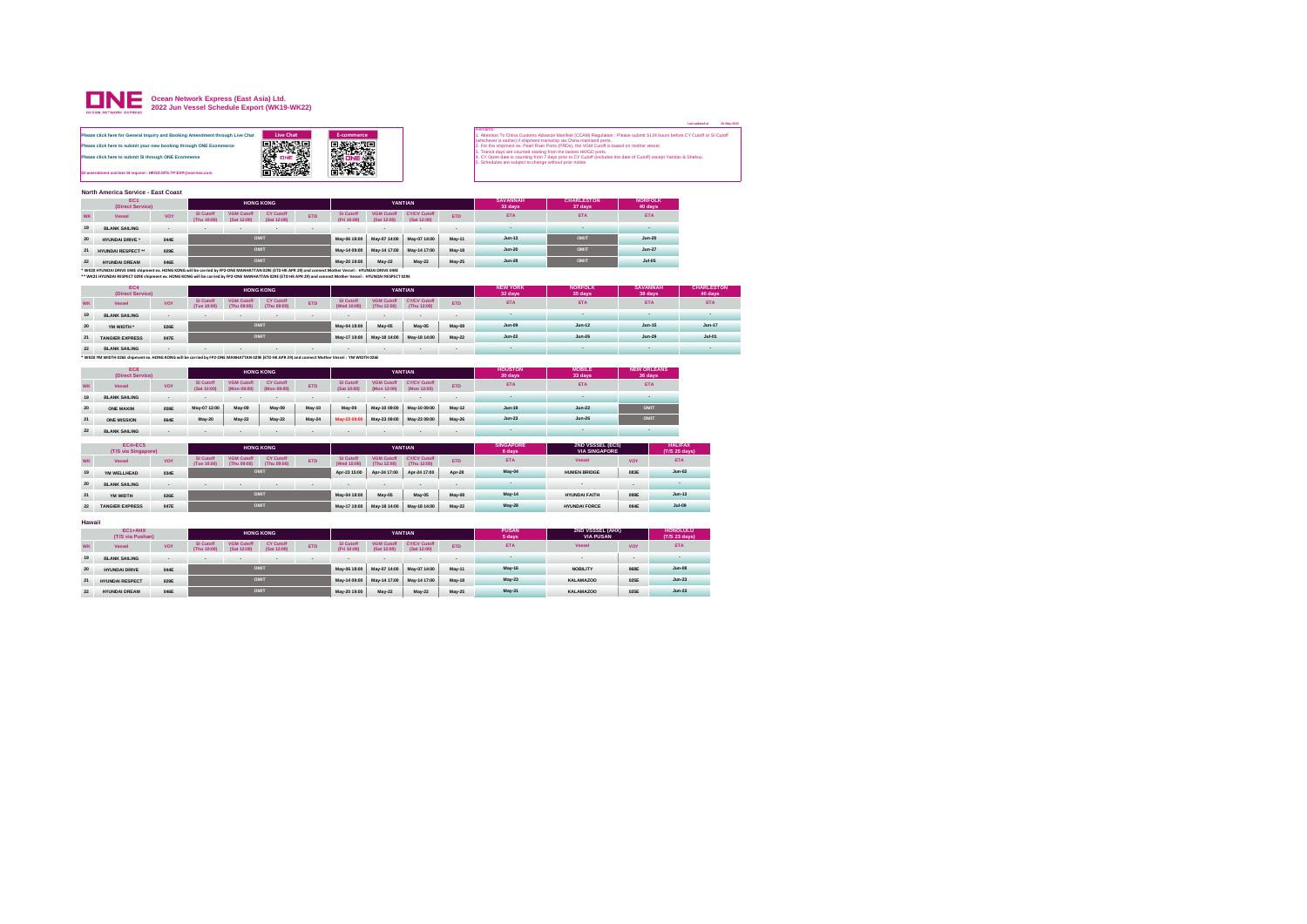

|                                                                                                                                                                                                             |                    |                   | <b>AND THE PART OF A</b>                                                                                                                                                                                                                                                                                                                                                                                                                                                                                   |  |
|-------------------------------------------------------------------------------------------------------------------------------------------------------------------------------------------------------------|--------------------|-------------------|------------------------------------------------------------------------------------------------------------------------------------------------------------------------------------------------------------------------------------------------------------------------------------------------------------------------------------------------------------------------------------------------------------------------------------------------------------------------------------------------------------|--|
| Please click here for General Inquiry and Booking Amendment through Live Chat<br>Please click here to submit your new booking through ONE Ecommerce<br>Please click here to submit SI through ONE Ecommerce | Live Chat<br>只爱教授男 | <b>E-commerce</b> | Remarks:<br>1. Attention To China Customs Advance Manifest (CCAM) Regulation : Please submit SI 24 hours before CY Cutoff or SI Cutoff<br>(whichever is earlier) if shipment transship via China mainland ports.<br>2. For the shipment ex. Pearl River Ports (PRDs), the VGM Cutoff is based on mother vessel.<br>3. Transit days are counted starting from the lastest HK/GD ports.<br>4. CY Open date is counting from 7 days prior to CY Cutoff (includes the date of Cutoff) except Yantian & Shekou. |  |
| S/I amendment and late SI request : HKGD.OFS.TP.EXP@one-line.com                                                                                                                                            |                    |                   | 5. Schedules are subject to change without prior notice.                                                                                                                                                                                                                                                                                                                                                                                                                                                   |  |

**North America Service - East Coast**

|    | EC1<br>(Direct Service)                                                                                                                                                                                                                                                                                                     |             |                          |                                  | <b>HONG KONG</b>                |            |                          |                                  | YANTIAN                     |               | <b>SAVANNAH</b><br>33 days | <b>CHARLESTON</b><br>37 days | <b>NORFOLK</b><br>40 days |
|----|-----------------------------------------------------------------------------------------------------------------------------------------------------------------------------------------------------------------------------------------------------------------------------------------------------------------------------|-------------|--------------------------|----------------------------------|---------------------------------|------------|--------------------------|----------------------------------|-----------------------------|---------------|----------------------------|------------------------------|---------------------------|
| wĸ | Vessel                                                                                                                                                                                                                                                                                                                      | VOY         | SI Cutoff<br>(Thu 10:00) | <b>VGM Cutoff</b><br>(Sat 12:00) | <b>CY Cutoff</b><br>(Sat 12:00) | <b>ETD</b> | SL Cutoff<br>(Fri 10:00) | <b>VGM Cutoff</b><br>(Sat 12:00) | CY/CV Cutoff<br>(Sat 12:00) | <b>ETD</b>    | <b>ETA</b>                 | <b>ETA</b>                   | <b>ETA</b>                |
| 19 | <b>BLANK SAILING</b>                                                                                                                                                                                                                                                                                                        |             |                          |                                  | $\bullet$                       |            |                          | . .                              |                             |               |                            |                              |                           |
| 20 | HYUNDAI DRIVE *                                                                                                                                                                                                                                                                                                             | 044E        |                          |                                  | OMIT                            |            | May-06 18:00             | May-07 14:00                     | May-07 14:00                | May-11        | $Jun-13$                   | OMIT                         | $Jun-20$                  |
| 21 | HYUNDAL RESPECT **                                                                                                                                                                                                                                                                                                          | 029E        |                          |                                  | OMIT                            |            | May-14 09:00             | May-14 17:00                     | May-14 17:00                | <b>May-18</b> | $Jun-20$                   | OMIT                         | $Jun-27$                  |
| 22 | HYUNDAL DREAM                                                                                                                                                                                                                                                                                                               | <b>OASE</b> |                          |                                  | OMIT                            |            | May-20 19:00             | May-22                           | May-22                      | May-25        | $Jun-28$                   | OMIT                         | $Jul-05$                  |
|    | * WK20 HYUNDAI DRIVE 044E shipment ex. HONG KONG will be carried by FP2-ONE MANHATTAN 029E (ETD HK APR 29) and connect Mother Vessel : HYUNDAI DRIVE 044E<br>** WK21 HYUNDAI RESPECT 029E shipment ex. HONG KONG will be carried by FP2-ONE MANHATTAN 029E (ETD HK APR 29) and connect Mother Vessel : HYUNDAI RESPECT 029E |             |                          |                                  |                                 |            |                          |                                  |                             |               |                            |                              |                           |

|           | EC4<br>(Direct Service) |           |                          |                                  | <b>HONG KONG</b>                |                          |                                 |                                  | YANTIAN                            |               | <b>NEW YORK</b><br>32 days | <b>NORFOLK</b><br>35 days | <b>SAVANNAH</b><br>38 days | <b>CHARLESTON</b><br>40 days |
|-----------|-------------------------|-----------|--------------------------|----------------------------------|---------------------------------|--------------------------|---------------------------------|----------------------------------|------------------------------------|---------------|----------------------------|---------------------------|----------------------------|------------------------------|
| <b>WK</b> | Vessel                  | VOY       | SI Cutoff<br>(Tue 10:00) | <b>VGM Cutoff</b><br>(Thu 09:00) | <b>CY Cutoff</b><br>(Thu 09:00) | <b>ETD</b>               | <b>SI Cutoff</b><br>(Wed 10:00) | <b>VGM Cutoff</b><br>(Thu 12:00) | <b>CY/CV Cutoff</b><br>(Thu 12:00) | <b>ETD</b>    | <b>ETA</b>                 | <b>ETA</b>                | <b>ETA</b>                 | <b>ETA</b>                   |
| 19        | <b>BLANK SAILING</b>    | $\bullet$ |                          |                                  | . .                             | $\overline{\phantom{a}}$ |                                 | . .                              |                                    |               |                            |                           |                            |                              |
| 20        | YM WIDTH *              | 026E      |                          |                                  | OMIT                            |                          | May-04 18:00                    | May-05                           | May-05                             | <b>May-08</b> | Jun-09                     | $Jun-12$                  | $Jun-15$                   | $Jun-17$                     |
| 21        | <b>TANGIER EXPRESS</b>  | 047E      |                          |                                  | OMIT                            |                          | May-17 19:00                    | May-18 14:00                     | May-18 14:00                       | May-22        | $Jun-22$                   | $Jun-26$                  | $Jun-29$                   | $Jul-01$                     |
| 22        | <b>BLANK SAILING</b>    | $\sim$    | .                        | $\overline{a}$                   | $\sim$                          | $\sim$                   | $\sim$                          | $\sim$                           | $\sim$                             |               |                            |                           |                            |                              |

22 BLANK SAILING<br>\* WK20 YM WIDTH 026E shipment ex. HONG KONG will be carried by FP2-ONE MANHATTAN 029E (ETD HK APR 29) and connect Mother Vessel : YM WIDTH 026E

|           | EC6<br>(Direct Service)               |            |                                 |                                  | <b>HONG KONG</b>                |            |                                 |                                  | YANTIAN                            |                          | <b>HOUSTON</b><br>30 days  | <b>MOBILE</b><br>33 days                 | <b>NEW ORLEANS</b><br>36 days |                                 |
|-----------|---------------------------------------|------------|---------------------------------|----------------------------------|---------------------------------|------------|---------------------------------|----------------------------------|------------------------------------|--------------------------|----------------------------|------------------------------------------|-------------------------------|---------------------------------|
| <b>WK</b> | Vessel                                | <b>VOY</b> | <b>SI Cutoff</b><br>(Sat 10:00) | <b>VGM Cutoff</b><br>(Mon 09:00) | <b>CY Cutoff</b><br>(Mon 09:00) | <b>FTD</b> | <b>SI Cutoff</b><br>(Sat 10:00) | <b>VGM Cutoff</b><br>(Mon 12:00) | <b>CY/CV Cutoff</b><br>(Mon 12:00) | <b>ETD</b>               | <b>ETA</b>                 | <b>ETA</b>                               | <b>ETA</b>                    |                                 |
| 19        | <b>BLANK SAILING</b>                  | $\cdot$    |                                 |                                  | $\,$                            |            |                                 | $\overline{\phantom{a}}$         | $\bullet$                          |                          |                            |                                          | ۰                             |                                 |
| 20        | ONE MAXIM                             | 059E       | May-07 12:00                    | May-09                           | May-09                          | May-10     | May-09                          | May-10 09:00                     | May-10 09:00                       | May-12                   | $Jun-19$                   | $Jun-22$                                 | OMIT                          |                                 |
| 21        | <b>ONE MISSION</b>                    | 064E       | May-20                          | May-22                           | May-22                          | May-24     | May-23 09:00                    | May-23 09:00                     | May-23 09:00                       | May-26                   | $Jun-23$                   | $Jun-26$                                 | OMIT                          |                                 |
| 22        | <b>BLANK SAILING</b>                  |            |                                 |                                  |                                 |            |                                 | $\overline{\phantom{a}}$         | $\bullet$                          |                          | . .                        |                                          | ۰                             |                                 |
|           | <b>EC4+EC5</b><br>(T/S via Singapore) |            |                                 |                                  | <b>HONG KONG</b>                |            |                                 |                                  | YANTIAN                            |                          | <b>SINGAPORE</b><br>6 days | 2ND VSSSEL (EC5)<br><b>VIA SINGAPORE</b> |                               | <b>HALIFAX</b><br>(T/S 25 days) |
| <b>WK</b> | Vessel                                | <b>VOY</b> | <b>SI Cutoff</b><br>(Tue 10:00) | <b>VGM Cutoff</b><br>(Thu 09:00) | <b>CY Cutoff</b><br>(Thu 09:00) | <b>ETD</b> | SI Cutoff<br>(Wed 10:00)        | <b>VGM Cutoff</b><br>(Thu 12:00) | <b>CY/CV Cutoff</b><br>(Thu 12:00) | <b>ETD</b>               | <b>ETA</b>                 | Vessel                                   | VOY                           | <b>ETA</b>                      |
| 19        | YM WELLHEAD                           | 034E       |                                 |                                  | OMIT                            |            | Apr-23 15:00                    | Apr-24 17:00                     | Apr-24 17:00                       | Apr-28                   | May-04                     | <b>HUMEN BRIDGE</b>                      | 083E                          | $Jun-02$                        |
| 20        | <b>BLANK SAILING</b>                  | $\bullet$  | $\,$                            | $\blacksquare$                   | $\overline{\phantom{a}}$        | $-1$       | $\blacksquare$                  | $\sim$                           | $\overline{\phantom{a}}$           | $\overline{\phantom{a}}$ | $\sim$                     | $\bullet$                                | $\overline{\phantom{a}}$      | л.                              |

**21 YM WIDTH 026E May-04 18:00 May-05 May-05 May-08 099E OMIT May-14 HYUNDAI FAITH Jun-13 22 TANGIER EXPRESS 047E May-17 19:00 May-18 14:00 May-18 14:00 May-22 094E OMIT May-28 HYUNDAI FORCE Jul-09**

**Hawaii**

|    | $EC1+AHX$<br>(T/S via Pushan) |      |                          |                                  | <b>HONG KONG</b>         |            |                                 |                                  | YANTIAN                            |               | <b>PUSAN</b><br>5 days | 2ND VSSSEL (AHX)<br><b>VIA PUSAN</b> |      | <b>HONOLULU</b><br>(T/S 23 days) |
|----|-------------------------------|------|--------------------------|----------------------------------|--------------------------|------------|---------------------------------|----------------------------------|------------------------------------|---------------|------------------------|--------------------------------------|------|----------------------------------|
| WK | Vessel                        | VOY  | SI Cutoff<br>(Thu 10:00) | <b>VGM Cutoff</b><br>(Sat 12:00) | CY Cutoff<br>(Sat 12:00) | <b>ETD</b> | <b>SI Cutoff</b><br>(Fri 10:00) | <b>VGM Cutoff</b><br>(Sat 12:00) | <b>CY/CV Cutoff</b><br>(Sat 12:00) | <b>ETD</b>    | <b>ETA</b>             | Vessel                               | VOY  | <b>ETA</b>                       |
| 19 | <b>BLANK SAILING</b>          | . .  |                          | . .                              | . .                      |            |                                 | . .                              | . .                                |               |                        |                                      |      | $\sim$                           |
| 20 | <b>HYUNDAI DRIVE</b>          | 044E |                          |                                  | OMIT                     |            | May-06 18:00                    | May-07 14:00                     | May-07 14:00                       | May-11        | May-16                 | <b>NOBILITY</b>                      | 968E | $Jun-08$                         |
| 21 | <b>HYUNDAI RESPECT</b>        | 029E |                          |                                  | OMIT                     |            | May-14 09:00                    | May-14 17:00                     | May-14 17:00                       | <b>May-18</b> | May-23                 | <b>KALAMAZOO</b>                     | 025E | $Jun-23$                         |
| 22 | <b>HYUNDAI DREAM</b>          | 046E |                          |                                  | OMIT                     |            | May-20 19:00                    | May-22                           | May-22                             | May-25        | May-31                 | <b>KALAMAZOO</b>                     | 025E | $Jun-23$                         |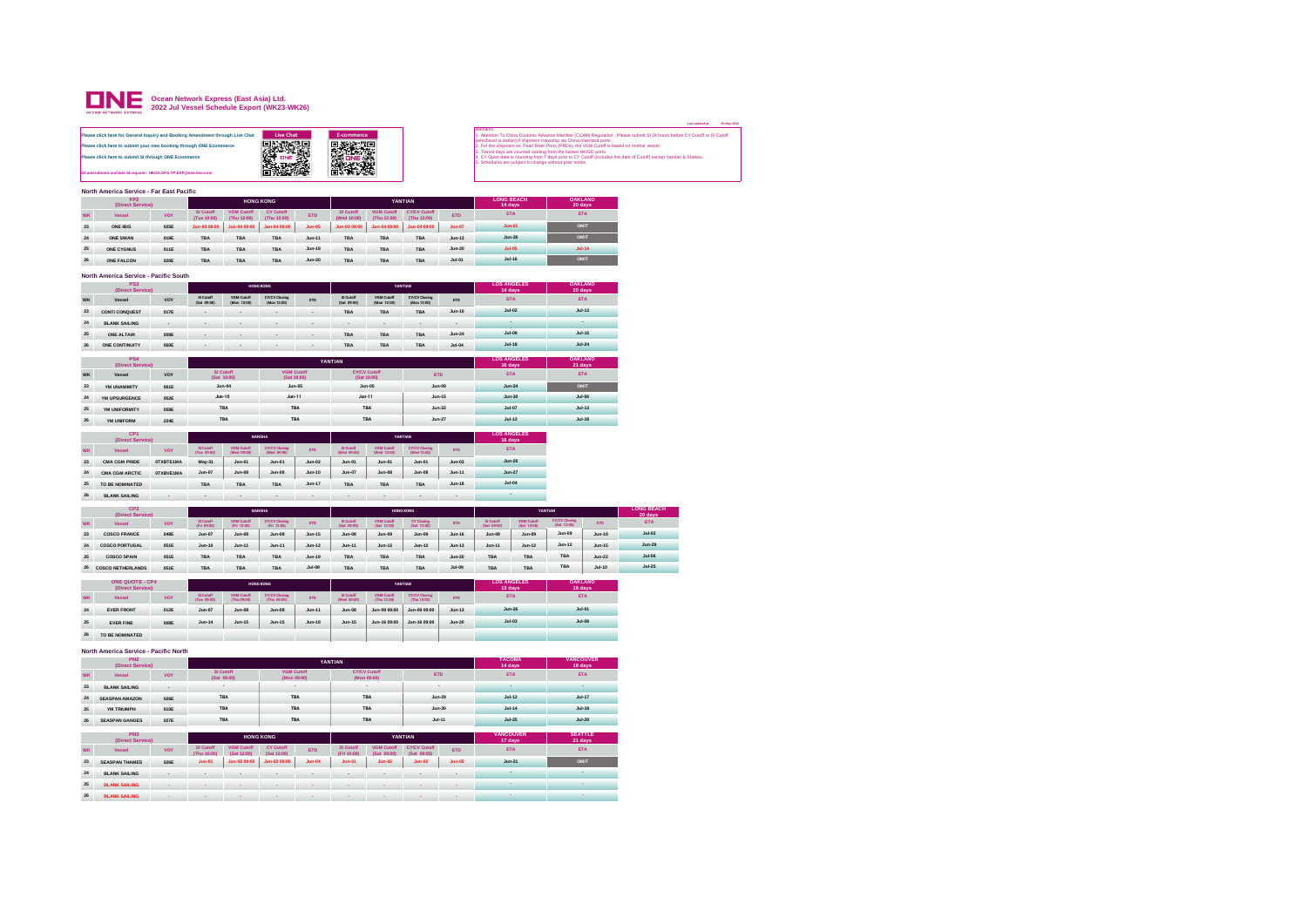

|                                                                                                                                                                                                                                                                                |                   |                   |                                                                                                                                                                                                                                                                                                                     |                                                                                                                                                                                                                                                 | 20-Mar |
|--------------------------------------------------------------------------------------------------------------------------------------------------------------------------------------------------------------------------------------------------------------------------------|-------------------|-------------------|---------------------------------------------------------------------------------------------------------------------------------------------------------------------------------------------------------------------------------------------------------------------------------------------------------------------|-------------------------------------------------------------------------------------------------------------------------------------------------------------------------------------------------------------------------------------------------|--------|
| fease click here for General Inquiry and Booking Amendment through Live Chat<br>lease click here to submit your new booking through ONE Ecommerce<br>lease click here to submit SI through ONE Ecommerce<br>A amendment and late SI request : HKGD, OFS, TP, EXP Rone-line.com | Live Chat<br>光景窓口 | <b>E-commerce</b> | Remarks:<br>(whichever is earlier) if shipment transship via China mainland ports.<br>2. For the shipment ex. Pearl River Ports (PRDs), the VGM Cutoff is based on mother vessel.<br>3. Transit days are counted starting from the lastest HK/GD ports.<br>5. Schedules are subject to change without prior notice. | 1. Attention To China Customs Advance Manifest (CCAM) Regulation : Please submit SI 24 hours before CY Cutoff or SI Cutoff<br>4. CY Open date is counting from 7 days prior to CY Cutoff (includes the date of Cutoff) except Yantian & Shekou. |        |
| lorth America Service - Ear East Dacific                                                                                                                                                                                                                                       |                   |                   |                                                                                                                                                                                                                                                                                                                     |                                                                                                                                                                                                                                                 |        |

**Last updated at 20-May-2022**

|           | North America Service - Far East Pacific |      |                          |                                  |                                 |            |                          |                                  |                                    |            |                              |                           |
|-----------|------------------------------------------|------|--------------------------|----------------------------------|---------------------------------|------------|--------------------------|----------------------------------|------------------------------------|------------|------------------------------|---------------------------|
|           | FP <sub>2</sub><br>(Direct Service)      |      |                          |                                  | <b>HONG KONG</b>                |            |                          |                                  | YANTIAN                            |            | <b>LONG BEACH</b><br>14 days | <b>OAKLAND</b><br>20 days |
| <b>WK</b> | Vessel                                   | VOY  | SI Cutoff<br>(Tue 10:00) | <b>VGM Cutoff</b><br>(Thu 12:00) | <b>CY Cutoff</b><br>(Thu 12:00) | <b>ETD</b> | SI Cutoff<br>(Wed 10:00) | <b>VGM Cutoff</b><br>(Thu 12:00) | <b>CY/CV Cutoff</b><br>(Thu 12:00) | <b>ETD</b> | <b>ETA</b>                   | <b>ETA</b>                |
| 23        | ONE IBIS                                 | 025E | Jun-03 09:00             | Jun-04 09:00                     | Jun-04 09:00                    | $Jun-05$   | Jun-03 09:00             | Jun-04 09:00                     | Jun-04 09:00                       | $Jun-07$   | $Jun-21$                     | OMIT                      |
| 24        | ONE SWAN                                 | 019E | <b>TBA</b>               | <b>TBA</b>                       | TBA                             | $Jun-11$   | <b>TBA</b>               | TBA                              | <b>TBA</b>                         | $Jun-13$   | $Jun-30$                     | OMIT                      |
| 25        | ONE CYGNUS                               | 011E | <b>TBA</b>               | TBA                              | TBA                             | $Jun-18$   | <b>TBA</b>               | TBA                              | <b>TBA</b>                         | $Jun-20$   | $Jul-05$                     | $Jul-14$                  |
| 26        | ONE FALCON                               | 020E | <b>TBA</b>               | <b>TBA</b>                       | TBA                             | $Jun-30$   | <b>TBA</b>               | TBA                              | <b>TBA</b>                         | $Jul-01$   | $Jul-16$                     | OMIT                      |

## **North America Service - Pacific South**

|    | PS <sub>3</sub><br>(Direct Service) |                          |                          |                           | <b>HONG KONG</b>             |            |                          |                           | YANTIAN                      |            | <b>LOS ANGELES</b><br>14 days | <b>OAKLAND</b><br>20 days |
|----|-------------------------------------|--------------------------|--------------------------|---------------------------|------------------------------|------------|--------------------------|---------------------------|------------------------------|------------|-------------------------------|---------------------------|
| WK | Vessel                              | VOY                      | SI Cutoff<br>(Sat 09:00) | VGM Cutoff<br>(Mon 12:00) | CY/CV Closing<br>(Mon 12:00) | <b>ETD</b> | SI Cutoff<br>(Sat 09:00) | VGM Cutoff<br>(Mon 12:00) | CY/CV Closing<br>(Mon 12:00) | <b>ETD</b> | <b>ETA</b>                    | <b>ETA</b>                |
| 23 | <b>CONTI CONQUEST</b>               | 017E                     |                          | . .                       | . .                          |            | <b>TBA</b>               | <b>TBA</b>                | <b>TBA</b>                   | $Jun-10$   | $Jul-02$                      | $Jul-13$                  |
| 24 | <b>BLANK SAILING</b>                | $\overline{\phantom{a}}$ | . .                      | . .                       | $\overline{a}$               | . .        | $\overline{a}$           | $\overline{a}$            | $\overline{\phantom{a}}$     | $\bullet$  |                               |                           |
| 25 | ONE ALTAIR                          | 059E                     | . .                      | . .                       |                              |            | <b>TBA</b>               | <b>TBA</b>                | <b>TBA</b>                   | $Jun-24$   | $Jul-09$                      | <b>Jul-15</b>             |
| 26 | ONE CONTINUITY                      | 060E                     | . .                      | . .                       | . .                          | ۰          | <b>TBA</b>               | <b>TBA</b>                | <b>TBA</b>                   | $Jul-04$   | $Jul-18$                      | $Jul-24$                  |

|    | PS <sub>4</sub><br>(Direct Service) |      |                          |                                  | YANTIAN                            |            | <b>LOS ANGELES</b><br>16 days | <b>OAKLAND</b><br>21 days |
|----|-------------------------------------|------|--------------------------|----------------------------------|------------------------------------|------------|-------------------------------|---------------------------|
| WK | Vessel                              | VOY  | SI Cutoff<br>(Sat 10:00) | <b>VGM Cutoff</b><br>(Sat 10:00) | <b>CY/CV Cutoff</b><br>(Sat 10:00) | <b>ETD</b> | <b>ETA</b>                    | <b>ETA</b>                |
| 23 | YM UNANIMITY                        | 061E | $Jun-04$                 | $Jun-05$                         | $Jun-05$                           | $Jun-09$   | $Jun-24$                      | OMIT                      |
| 24 | YM UPSURGENCE                       | 052E | $Jun-10$                 | $Jun-11$                         | $Jun-11$                           | $Jun-15$   | $Jun-30$                      | $Jul-06$                  |
| 25 | YM UNIFORMITY                       | 059E | TBA                      | TBA                              | TBA                                | $Jun-22$   | $Jul-07$                      | $Jul-13$                  |
| 26 | YM UNIFORM                          | 224E | TBA                      | TBA                              | TBA                                | $Jun-27$   | $Ju$ -12                      | $Jul-18$                  |

|           | CP <sub>1</sub><br>(Direct Service) |           |                          | <b>NANSHA</b>             |                                     |            |                          |                           | <b>YANTIAN</b>                      |            | <b>LOS ANGELES</b><br>16 days |
|-----------|-------------------------------------|-----------|--------------------------|---------------------------|-------------------------------------|------------|--------------------------|---------------------------|-------------------------------------|------------|-------------------------------|
| <b>WK</b> | Vessel                              | VOY       | SI Cutoff<br>(Tue 09:00) | VGM Cutoff<br>(Wed 09:00) | <b>CY/CV Closing</b><br>(Wed 09:00) | <b>ETD</b> | SI Cutoff<br>(Wed 09:00) | VGM Cutoff<br>(Wed 12:00) | <b>CY/CV Clesing</b><br>(Wed 12:00) | <b>ETD</b> | <b>ETA</b>                    |
| 23        | <b>CMA CGM PRIDE</b>                | OTXBTE1MA | May-31                   | $Jun-01$                  | $Jun-01$                            | $Jun-02$   | $Jun-01$                 | $Jun-01$                  | $Jun-01$                            | $Jun-03$   | $Jun-20$                      |
| 24        | <b>CMA CGM ARCTIC</b>               | OTXBVE1MA | $Jun-07$                 | $Jun-08$                  | $Jun-08$                            | $Jun-10$   | $Jun-07$                 | $Jun-08$                  | $Jun-08$                            | $Jun-11$   | $Jun-27$                      |
| 25        | TO BE NOMINATED                     |           | <b>TBA</b>               | <b>TBA</b>                | <b>TBA</b>                          | $Jun-17$   | <b>TBA</b>               | TBA                       | <b>TBA</b>                          | $Jun-18$   | $Jul-04$                      |
| 26        | <b>BLANK SAILING</b>                |           |                          |                           |                                     | ۰          | $\bullet$                | ۰                         | ۰                                   |            | ٠                             |

|           | CP <sub>2</sub><br>(Direct Service) |      |                          |                                  | <b>NANSHA</b>                       |            |                          | <b>HONG KONG</b>          |                           |               |                           |                                  | YANTIAN                             |            | <b>LONG BEACH</b><br>20 days |
|-----------|-------------------------------------|------|--------------------------|----------------------------------|-------------------------------------|------------|--------------------------|---------------------------|---------------------------|---------------|---------------------------|----------------------------------|-------------------------------------|------------|------------------------------|
| <b>WK</b> | Vessel                              | VOY  | SI Cutoff<br>(Fri 09.00) | <b>VGM Cutoff</b><br>(Fri 12.00) | <b>CY/CV Closing</b><br>(Fri 12:00) | <b>FTD</b> | SI Cutoff<br>(Sat 09:00) | VGM Cutoff<br>(Sat 12:00) | CY Clesing<br>(Sat 12:00) | <b>ETD</b>    | SI Cutoff<br>(Sat. 09:00) | <b>VGM Cutoff</b><br>(Sat 12:00) | <b>CY/CV Cleains</b><br>(Set 12:00) | <b>ETD</b> | <b>ETA</b>                   |
| 23        | <b>COSCO FRANCE</b>                 | 048E | $Jun-07$                 | $Jun-08$                         | $Jun-08$                            | $Jun-15$   | $Jun-08$                 | $Jun-09$                  | $Jun-09$                  | $Jun-16$      | $Jun-08$                  | Jun-09                           | $Jun-09$                            | $Jun-18$   | $Jul-02$                     |
| 24        | <b>COSCO PORTUGAL</b>               | 051E | $Jun-10$                 | $Jun-11$                         | $Jun-11$                            | $Jun-12$   | $Jun-11$                 | $Jun-12$                  | $Jun-12$                  | $Jun-13$      | $Jun-11$                  | $Jun-12$                         | $Jun-12$                            | $Jun-15$   | $Jun-29$                     |
| 25        | <b>COSCO SPAIN</b>                  | 051E | <b>TBA</b>               | <b>TBA</b>                       | TBA                                 | $Jun-19$   | <b>TBA</b>               | TBA                       | <b>TBA</b>                | $Jun-20$      | <b>TBA</b>                | <b>TBA</b>                       | TBA                                 | $Jun-22$   | $Jul-06$                     |
| 26        | <b>COSCO NETHERLANDS</b>            | 051E | <b>TBA</b>               | TBA                              | TBA                                 | $Jul-08$   | <b>TBA</b>               | TBA                       | <b>TBA</b>                | <b>Jul-09</b> | <b>TBA</b>                | <b>TBA</b>                       | TBA                                 | $Jul-10$   | $Jul-25$                     |

|           | <b>ONE QUOTE - CP4</b><br>(Direct Service) |      |                          |                                  | <b>HONG KONG</b>                    |            |                          |                           | YANTIAN                             |            | <b>LOS ANGELES</b><br>13 days | <b>OAKLAND</b><br>18 days |
|-----------|--------------------------------------------|------|--------------------------|----------------------------------|-------------------------------------|------------|--------------------------|---------------------------|-------------------------------------|------------|-------------------------------|---------------------------|
| <b>WK</b> | Vessel                                     | VOY  | SI Cutoff<br>(Tue 09:00) | <b>VGM Cutoff</b><br>(Thu 09:00) | <b>CY/CV Closing</b><br>(Thu 09:00) | <b>ETD</b> | SI Cutoff<br>(Wed 09:00) | VGM Cutoff<br>(Thu 12:00) | <b>CY/CV Clesing</b><br>(Thu 12:00) | <b>ETD</b> | <b>ETA</b>                    | <b>ETA</b>                |
| 24        | <b>EVER FRONT</b>                          | 012E | $Jun-07$                 | $Jun-08$                         | $Jun-08$                            | $Jun-11$   | $Jun-08$                 | Jun-09 09:00              | Jun-09 09:00                        | $Jun-13$   | $Jun-26$                      | $Jul-01$                  |
| 25        | <b>EVER FINE</b>                           | 008E | $Jun-14$                 | $Jun-15$                         | $Jun-15$                            | $Jun-18$   | $Jun-15$                 | Jun-16 09:00              | Jun-16 09:00                        | $Jun-20$   | $Jul-03$                      | $Jul-08$                  |
| 26        | TO BE NOMINATED                            |      |                          |                                  |                                     |            |                          |                           |                                     |            |                               |                           |

## **North America Service - Pacific North**

|           | PN <sub>2</sub><br>(Direct Service) |            |                                   |                                  |                                  | <b>TACOMA</b><br>14 days | <b>VANCOUVER</b><br>18 days |                                    |                                    |            |                             |                           |
|-----------|-------------------------------------|------------|-----------------------------------|----------------------------------|----------------------------------|--------------------------|-----------------------------|------------------------------------|------------------------------------|------------|-----------------------------|---------------------------|
| <b>WK</b> | Vessel                              | <b>VOY</b> |                                   | SI Cutoff<br>(Sat 09:00)         | <b>VGM Cutoff</b><br>(Mon 09:00) |                          |                             | <b>CY/CV Cutoff</b><br>(Mon 09:00) |                                    | <b>ETD</b> | <b>ETA</b>                  | <b>ETA</b>                |
| 23        | <b>BLANK SAILING</b>                | ٠          |                                   | $\sim$                           |                                  | $\sim$                   |                             | $\sim$                             |                                    | $\sim$     | ٠                           | ٠                         |
| 24        | <b>SEASPAN AMAZON</b>               | 026E       |                                   | <b>TBA</b>                       |                                  | <b>TBA</b>               |                             | <b>TBA</b>                         |                                    | $Jun-29$   | $Jul-12$                    | $Jul-17$                  |
| 25        | YM TRIUMPH                          | 010E       |                                   | <b>TBA</b>                       |                                  | <b>TBA</b>               |                             | <b>TBA</b>                         |                                    | $Jun-30$   | $Jul-14$                    | $Jul-18$                  |
| 26        | <b>SEASPAN GANGES</b>               | 027E       |                                   | <b>TBA</b>                       |                                  | <b>TBA</b>               |                             | <b>TBA</b>                         |                                    | $Jul-11$   | $Jul-25$                    | $Jul-29$                  |
|           | PN3<br>(Direct Service)             |            |                                   |                                  | <b>HONG KONG</b>                 |                          |                             |                                    | YANTIAN                            |            | <b>VANCOUVER</b><br>17 days | <b>SEATTLE</b><br>21 days |
| <b>WK</b> | Vessel                              | <b>VOY</b> | SI Cutoff<br>(Thu 10:00)          | <b>VGM Cutoff</b><br>(Sat 12:00) | <b>CY Cutoff</b><br>(Sat 12:00)  | <b>ETD</b>               | SI Cutoff<br>(Fri 10:00)    | <b>VGM Cutoff</b><br>(Sat 09:00)   | <b>CY/CV Cutoff</b><br>(Sat 09:00) | <b>ETD</b> | <b>ETA</b>                  | <b>ETA</b>                |
| 23        | <b>SEASPAN THAMES</b>               | 026E       | $Jun-01$                          | Jun-02 09:00                     | Jun-02 09:00                     | $Jun-04$                 | $Jun-01$                    | $Jun-02$                           | $Jun-02$                           | $Jun-05$   | $Jun-21$                    | OMIT                      |
| 24        | <b>BLANK SAILING</b>                | ٠          | $\,$                              | ٠                                | $\,$                             | $\bullet$                | $\,$                        | $\bullet$                          | $\bullet$                          | $\bullet$  | $\sim$                      | ٠                         |
| 25        | <b>BLANK SAILING</b>                |            |                                   |                                  |                                  |                          |                             |                                    |                                    |            |                             |                           |
| 26        | <b>BLANK SAILING</b>                |            | <b>Contract Contract Contract</b> | $\sim$                           | $\sim$                           | $\sim$                   | and the state               | $\sim$                             | the company of the company of      |            | $\sim$                      | $\sim$                    |